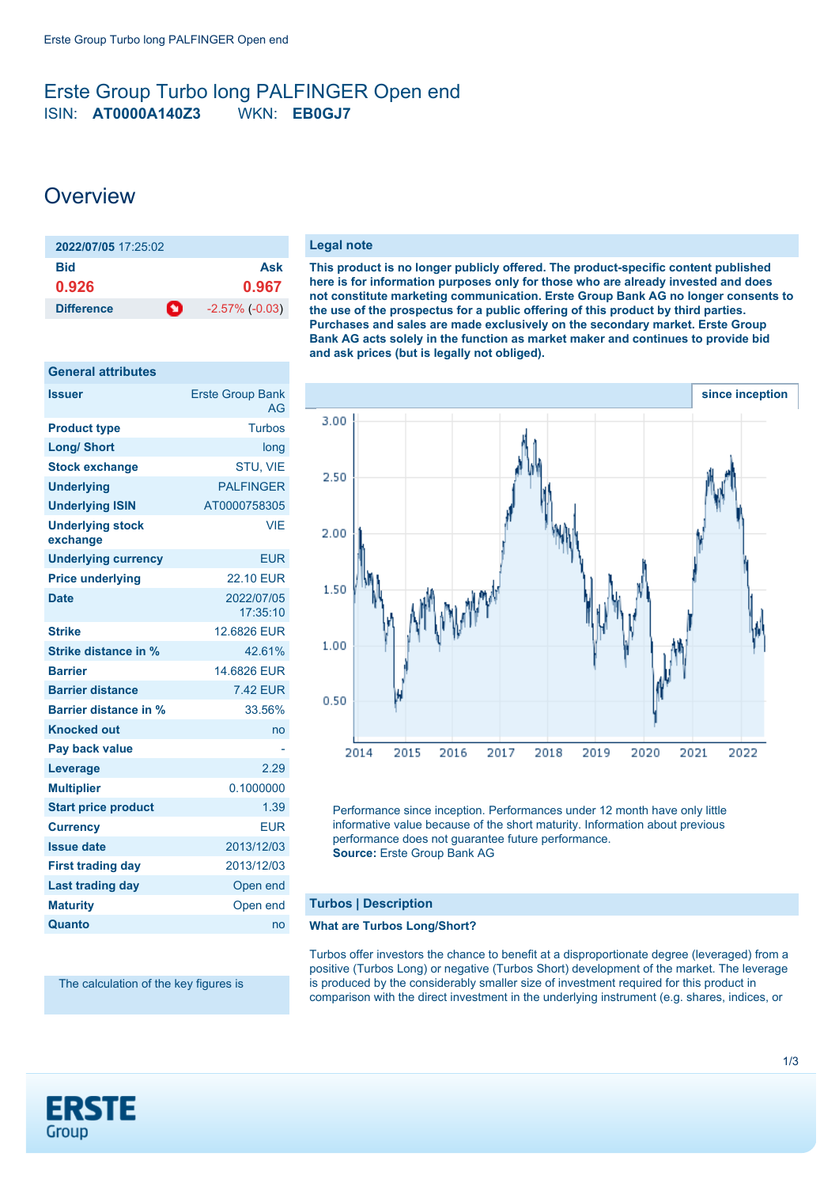# <span id="page-0-0"></span>Erste Group Turbo long PALFINGER Open end ISIN: **AT0000A140Z3** WKN: **EB0GJ7**

# **Overview**

**General attributes**

| 2022/07/05 17:25:02 |   |                       |
|---------------------|---|-----------------------|
| <b>Bid</b>          |   | Ask                   |
| 0.926               |   | 0.967                 |
| <b>Difference</b>   | O | $-2.57\%$ ( $-0.03$ ) |

| General attributes                  |                               |
|-------------------------------------|-------------------------------|
| Issuer                              | <b>Erste Group Bank</b><br>AG |
| <b>Product type</b>                 | <b>Turbos</b>                 |
| <b>Long/ Short</b>                  | long                          |
| <b>Stock exchange</b>               | STU, VIE                      |
| <b>Underlying</b>                   | <b>PALFINGER</b>              |
| <b>Underlying ISIN</b>              | AT0000758305                  |
| <b>Underlying stock</b><br>exchange | <b>VIE</b>                    |
| <b>Underlying currency</b>          | <b>EUR</b>                    |
| <b>Price underlying</b>             | <b>22.10 EUR</b>              |
| <b>Date</b>                         | 2022/07/05<br>17:35:10        |
| <b>Strike</b>                       | 12.6826 EUR                   |
| Strike distance in %                | 42.61%                        |
| <b>Barrier</b>                      | 14.6826 EUR                   |
| <b>Barrier distance</b>             | <b>7.42 EUR</b>               |
| Barrier distance in %               | 33.56%                        |
| <b>Knocked out</b>                  | no                            |
| Pay back value                      |                               |
| Leverage                            | 2.29                          |
| <b>Multiplier</b>                   | 0.1000000                     |
| <b>Start price product</b>          | 1.39                          |
| <b>Currency</b>                     | <b>EUR</b>                    |
| <b>Issue date</b>                   | 2013/12/03                    |
| <b>First trading day</b>            | 2013/12/03                    |
| <b>Last trading day</b>             | Open end                      |
| <b>Maturity</b>                     | Open end                      |
| Quanto                              | no                            |

The calculation of the key figures is

#### **Legal note**

**This product is no longer publicly offered. The product-specific content published here is for information purposes only for those who are already invested and does not constitute marketing communication. Erste Group Bank AG no longer consents to the use of the prospectus for a public offering of this product by third parties. Purchases and sales are made exclusively on the secondary market. Erste Group Bank AG acts solely in the function as market maker and continues to provide bid and ask prices (but is legally not obliged).**



Performance since inception. Performances under 12 month have only little informative value because of the short maturity. Information about previous performance does not guarantee future performance. **Source:** Erste Group Bank AG

## **Turbos | Description**

### **What are Turbos Long/Short?**

Turbos offer investors the chance to benefit at a disproportionate degree (leveraged) from a positive (Turbos Long) or negative (Turbos Short) development of the market. The leverage is produced by the considerably smaller size of investment required for this product in comparison with the direct investment in the underlying instrument (e.g. shares, indices, or

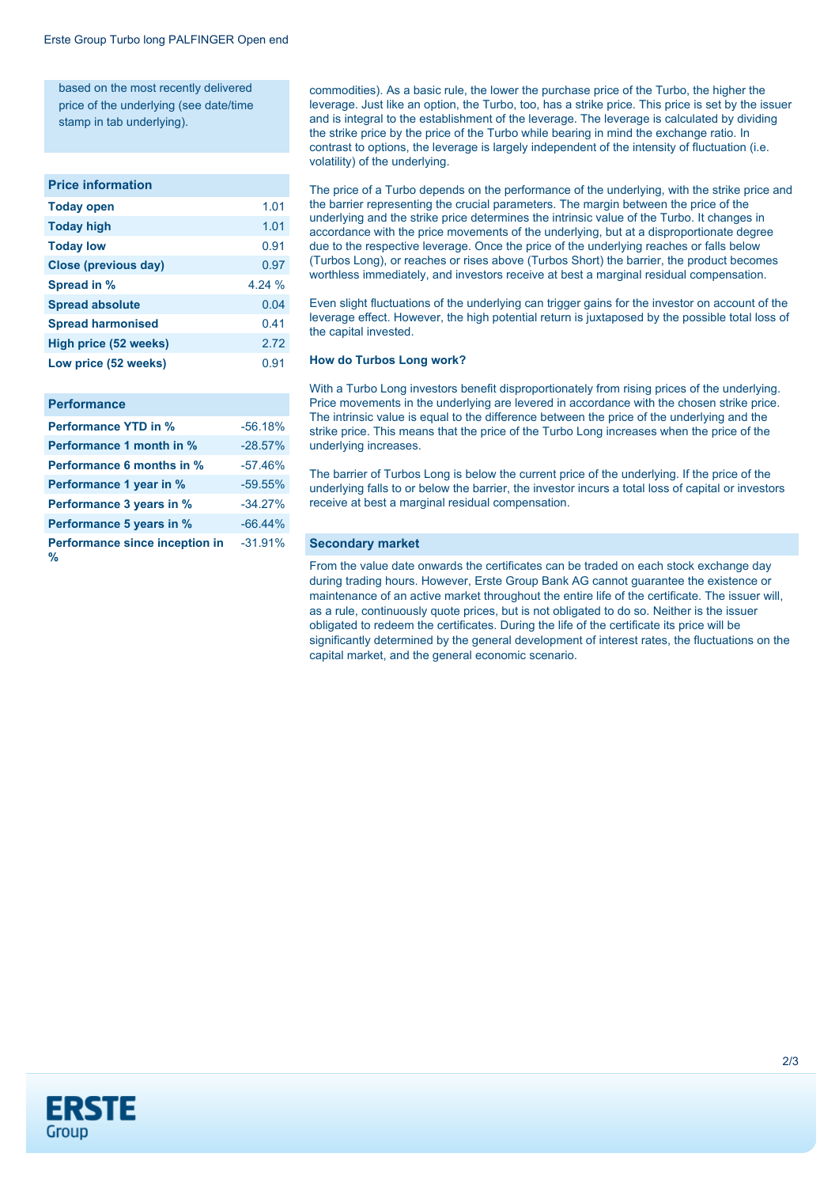based on the most recently delivered price of the underlying (see date/time stamp in tab underlying).

#### **Price information**

| <b>Today open</b>            | 1.01  |
|------------------------------|-------|
| <b>Today high</b>            | 1.01  |
| <b>Today low</b>             | 0.91  |
| <b>Close (previous day)</b>  | 0.97  |
| Spread in %                  | 4.24% |
| <b>Spread absolute</b>       | 0.04  |
| <b>Spread harmonised</b>     | 0.41  |
| <b>High price (52 weeks)</b> | 2.72  |
| Low price (52 weeks)         | 0.91  |
|                              |       |

#### **Performance**

| <b>Performance YTD in %</b>         | $-56.18%$ |
|-------------------------------------|-----------|
| Performance 1 month in %            | $-28.57%$ |
| <b>Performance 6 months in %</b>    | $-57.46%$ |
| Performance 1 year in %             | $-59.55%$ |
| Performance 3 years in %            | $-34.27%$ |
| Performance 5 years in %            | $-66.44%$ |
| Performance since inception in<br>% | $-31.91%$ |

commodities). As a basic rule, the lower the purchase price of the Turbo, the higher the leverage. Just like an option, the Turbo, too, has a strike price. This price is set by the issuer and is integral to the establishment of the leverage. The leverage is calculated by dividing the strike price by the price of the Turbo while bearing in mind the exchange ratio. In contrast to options, the leverage is largely independent of the intensity of fluctuation (i.e. volatility) of the underlying.

The price of a Turbo depends on the performance of the underlying, with the strike price and the barrier representing the crucial parameters. The margin between the price of the underlying and the strike price determines the intrinsic value of the Turbo. It changes in accordance with the price movements of the underlying, but at a disproportionate degree due to the respective leverage. Once the price of the underlying reaches or falls below (Turbos Long), or reaches or rises above (Turbos Short) the barrier, the product becomes worthless immediately, and investors receive at best a marginal residual compensation.

Even slight fluctuations of the underlying can trigger gains for the investor on account of the leverage effect. However, the high potential return is juxtaposed by the possible total loss of the capital invested.

#### **How do Turbos Long work?**

With a Turbo Long investors benefit disproportionately from rising prices of the underlying. Price movements in the underlying are levered in accordance with the chosen strike price. The intrinsic value is equal to the difference between the price of the underlying and the strike price. This means that the price of the Turbo Long increases when the price of the underlying increases.

The barrier of Turbos Long is below the current price of the underlying. If the price of the underlying falls to or below the barrier, the investor incurs a total loss of capital or investors receive at best a marginal residual compensation.

#### **Secondary market**

From the value date onwards the certificates can be traded on each stock exchange day during trading hours. However, Erste Group Bank AG cannot guarantee the existence or maintenance of an active market throughout the entire life of the certificate. The issuer will, as a rule, continuously quote prices, but is not obligated to do so. Neither is the issuer obligated to redeem the certificates. During the life of the certificate its price will be significantly determined by the general development of interest rates, the fluctuations on the capital market, and the general economic scenario.